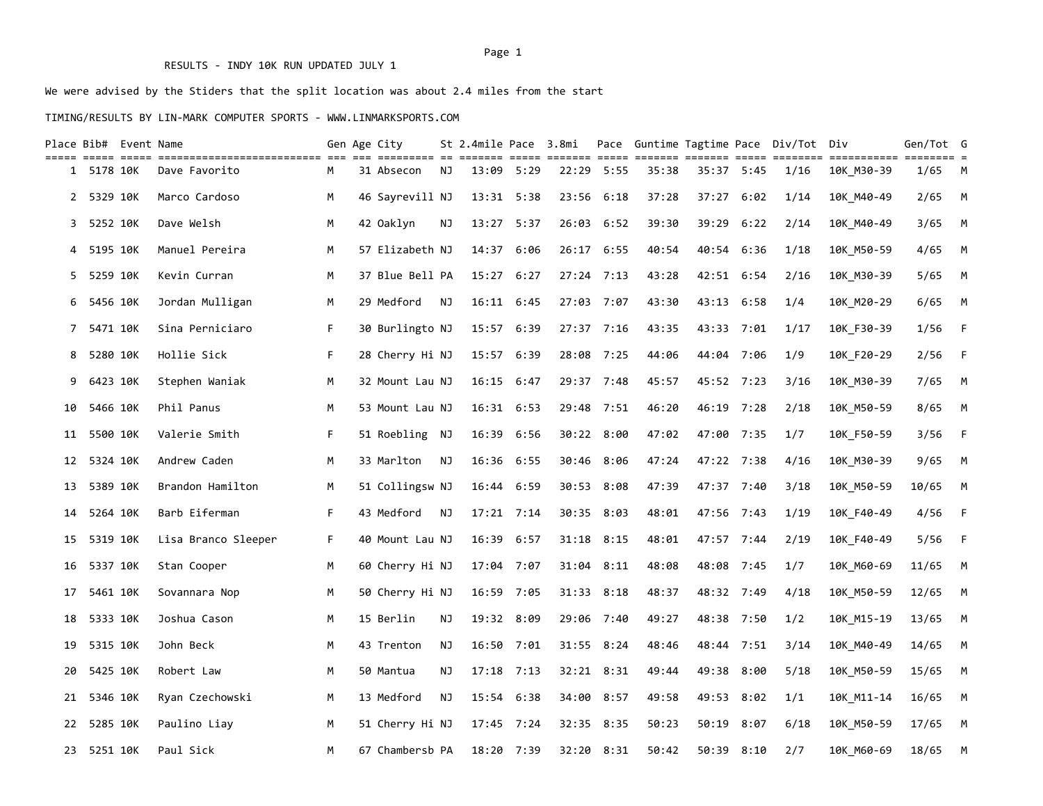### RESULTS - INDY 10K RUN UPDATED JULY 1

# We were advised by the Stiders that the split location was about 2.4 miles from the start

### TIMING/RESULTS BY LIN-MARK COMPUTER SPORTS - WWW.LINMARKSPORTS.COM

|    |            | Place Bib#  Event Name |                     |    | Gen Age City    |    |                |      | St 2.4mile Pace 3.8mi |            |       |            |            | Pace Guntime Tagtime Pace Div/Tot Div |            | Gen/Tot G |          |
|----|------------|------------------------|---------------------|----|-----------------|----|----------------|------|-----------------------|------------|-------|------------|------------|---------------------------------------|------------|-----------|----------|
|    | 1 5178 10K |                        | Dave Favorito       | м  | 31 Absecon      | NJ | 13:09 5:29     |      |                       | 22:29 5:55 | 35:38 | 35:37 5:45 |            | 1/16                                  | 10K M30-39 | 1/65      | <b>M</b> |
| 2  | 5329 10K   |                        | Marco Cardoso       | M  | 46 Sayrevill NJ |    | 13:31 5:38     |      | 23:56                 | 6:18       | 37:28 | 37:27      | 6:02       | 1/14                                  | 10K M40-49 | 2/65      | M        |
| 3  | 5252 10K   |                        | Dave Welsh          | м  | 42 Oaklyn       | ΝJ | 13:27 5:37     |      | 26:03                 | 6:52       | 39:30 | 39:29      | 6:22       | 2/14                                  | 10K_M40-49 | 3/65      | M        |
| 4  | 5195 10K   |                        | Manuel Pereira      | M  | 57 Elizabeth NJ |    | 14:37 6:06     |      |                       | 26:17 6:55 | 40:54 | 40:54 6:36 |            | 1/18                                  | 10K_M50-59 | 4/65      | M        |
| 5  | 5259 10K   |                        | Kevin Curran        | М  | 37 Blue Bell PA |    | 15:27 6:27     |      |                       | 27:24 7:13 | 43:28 | 42:51 6:54 |            | 2/16                                  | 10K M30-39 | 5/65      | M        |
| 6  | 5456 10K   |                        | Jordan Mulligan     | M  | 29 Medford      | NJ | 16:11 6:45     |      |                       | 27:03 7:07 | 43:30 | 43:13 6:58 |            | 1/4                                   | 10K M20-29 | 6/65      | M        |
| 7  | 5471 10K   |                        | Sina Perniciaro     | F. | 30 Burlingto NJ |    | 15:57 6:39     |      |                       | 27:37 7:16 | 43:35 | 43:33 7:01 |            | 1/17                                  | 10K F30-39 | 1/56      | - F      |
| 8  | 5280 10K   |                        | Hollie Sick         | F  | 28 Cherry Hi NJ |    | 15:57          | 6:39 | 28:08                 | 7:25       | 44:06 | 44:04 7:06 |            | 1/9                                   | 10K F20-29 | 2/56      | $-F$     |
| 9  | 6423 10K   |                        | Stephen Waniak      | M  | 32 Mount Lau NJ |    | 16:15 6:47     |      |                       | 29:37 7:48 | 45:57 | 45:52 7:23 |            | 3/16                                  | 10K_M30-39 | 7/65      | M        |
| 10 | 5466 10K   |                        | Phil Panus          | M  | 53 Mount Lau NJ |    | $16:31$ $6:53$ |      |                       | 29:48 7:51 | 46:20 |            | 46:19 7:28 | 2/18                                  | 10K M50-59 | 8/65      | M        |
| 11 | 5500 10K   |                        | Valerie Smith       | F  | 51 Roebling NJ  |    | 16:39 6:56     |      |                       | 30:22 8:00 | 47:02 | 47:00 7:35 |            | 1/7                                   | 10K_F50-59 | 3/56      | - F      |
| 12 | 5324 10K   |                        | Andrew Caden        | М  | 33 Marlton      | NJ | 16:36 6:55     |      | 30:46                 | 8:06       | 47:24 | 47:22 7:38 |            | 4/16                                  | 10K_M30-39 | 9/65      | M        |
| 13 | 5389 10K   |                        | Brandon Hamilton    | М  | 51 Collingsw NJ |    | 16:44 6:59     |      | 30:53                 | 8:08       | 47:39 | 47:37 7:40 |            | 3/18                                  | 10K_M50-59 | 10/65     | M        |
| 14 | 5264 10K   |                        | Barb Eiferman       | F  | 43 Medford      | NJ | 17:21 7:14     |      |                       | 30:35 8:03 | 48:01 | 47:56 7:43 |            | 1/19                                  | 10K_F40-49 | 4/56      | - F      |
| 15 | 5319 10K   |                        | Lisa Branco Sleeper | F. | 40 Mount Lau NJ |    | 16:39 6:57     |      |                       | 31:18 8:15 | 48:01 |            | 47:57 7:44 | 2/19                                  | 10K F40-49 | 5/56      | - F      |
| 16 | 5337 10K   |                        | Stan Cooper         | M  | 60 Cherry Hi NJ |    | 17:04 7:07     |      |                       | 31:04 8:11 | 48:08 | 48:08 7:45 |            | 1/7                                   | 10K M60-69 | 11/65     | M        |
| 17 | 5461 10K   |                        | Sovannara Nop       | м  | 50 Cherry Hi NJ |    | 16:59 7:05     |      |                       | 31:33 8:18 | 48:37 | 48:32 7:49 |            | 4/18                                  | 10K M50-59 | 12/65     | M        |
| 18 | 5333 10K   |                        | Joshua Cason        | М  | 15 Berlin       | ΝJ | 19:32 8:09     |      |                       | 29:06 7:40 | 49:27 | 48:38 7:50 |            | 1/2                                   | 10K M15-19 | 13/65     | M        |
| 19 | 5315 10K   |                        | John Beck           | М  | 43 Trenton      | ΝJ | 16:50 7:01     |      |                       | 31:55 8:24 | 48:46 | 48:44 7:51 |            | 3/14                                  | 10K M40-49 | 14/65     | M        |
| 20 | 5425 10K   |                        | Robert Law          | м  | 50 Mantua       | ΝJ | $17:18$ $7:13$ |      |                       | 32:21 8:31 | 49:44 |            | 49:38 8:00 | 5/18                                  | 10K M50-59 | 15/65     | M        |
| 21 | 5346 10K   |                        | Ryan Czechowski     | М  | 13 Medford      | ΝJ | 15:54 6:38     |      | 34:00                 | 8:57       | 49:58 | 49:53 8:02 |            | 1/1                                   | 10K M11-14 | 16/65     | M        |
| 22 | 5285 10K   |                        | Paulino Liay        | М  | 51 Cherry Hi NJ |    | $17:45$ $7:24$ |      | 32:35                 | 8:35       | 50:23 | 50:19      | 8:07       | 6/18                                  | 10K M50-59 | 17/65     | M        |
| 23 | 5251 10K   |                        | Paul Sick           | M  | 67 Chambersb PA |    | 18:20 7:39     |      |                       | 32:20 8:31 | 50:42 |            | 50:39 8:10 | 2/7                                   | 10K M60-69 | 18/65     | M        |

### Page 1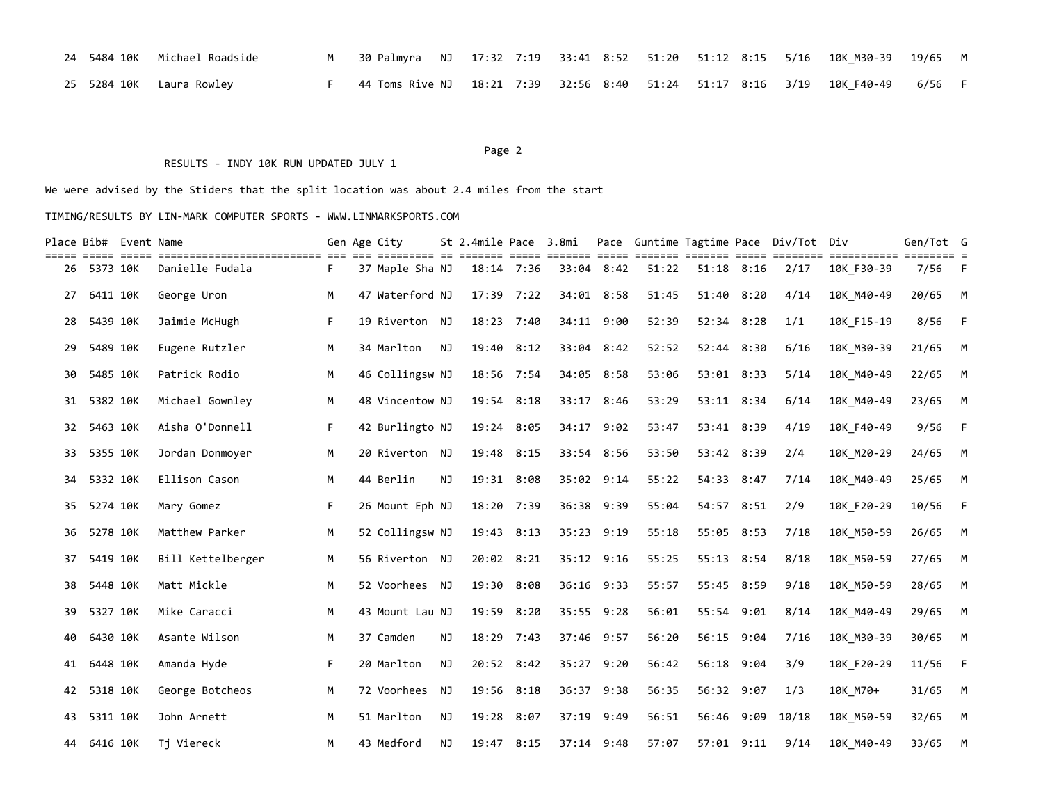|  | 24 5484 10K Michael Roadside | M 30 Palmyra NJ 17:32 7:19 33:41 8:52 51:20 51:12 8:15 5/16 10K_M30-39 19/65 M  |  |  |  |  |  |  |
|--|------------------------------|---------------------------------------------------------------------------------|--|--|--|--|--|--|
|  | 25 5284 10K Laura Rowley     | F 44 Toms Rive NJ 18:21 7:39 32:56 8:40 51:24 51:17 8:16 3/19 10K F40-49 6/56 F |  |  |  |  |  |  |

#### Page 2 and 2 and 2 and 2 and 2 and 2 and 2 and 2 and 2 and 2 and 2 and 2 and 2 and 2 and 2 and 2 and 2 and 2

#### RESULTS - INDY 10K RUN UPDATED JULY 1

We were advised by the Stiders that the split location was about 2.4 miles from the start

| Place Bib# Event Name |          |                    |                   |    | Gen Age City    |    | St 2.4mile Pace 3.8mi |  |            |       |            |                | Pace Guntime Tagtime Pace Div/Tot Div |            | Gen/Tot G |             |
|-----------------------|----------|--------------------|-------------------|----|-----------------|----|-----------------------|--|------------|-------|------------|----------------|---------------------------------------|------------|-----------|-------------|
| 26                    | 5373 10K | <b>EEEEE EEEEE</b> | Danielle Fudala   | F. | 37 Maple Sha NJ |    | 18:14 7:36            |  | 33:04 8:42 | 51:22 |            | $51:18$ $8:16$ | 2/17                                  | 10K F30-39 | 7/56      | $-F$        |
| 27                    | 6411 10K |                    | George Uron       | М  | 47 Waterford NJ |    | $17:39$ $7:22$        |  | 34:01 8:58 | 51:45 | 51:40      | 8:20           | 4/14                                  | 10K M40-49 | 20/65     | M           |
| 28                    | 5439 10K |                    | Jaimie McHugh     | F. | 19 Riverton NJ  |    | 18:23 7:40            |  | 34:11 9:00 | 52:39 |            | 52:34 8:28     | 1/1                                   | 10K F15-19 | 8/56      | $-F$        |
| 29                    | 5489 10K |                    | Eugene Rutzler    | M  | 34 Marlton      | NJ | 19:40 8:12            |  | 33:04 8:42 | 52:52 |            | 52:44 8:30     | 6/16                                  | 10K M30-39 | 21/65     | $M_{\odot}$ |
| 30                    | 5485 10K |                    | Patrick Rodio     | М  | 46 Collingsw NJ |    | 18:56 7:54            |  | 34:05 8:58 | 53:06 |            | 53:01 8:33     | 5/14                                  | 10K M40-49 | 22/65     | M           |
| 31                    | 5382 10K |                    | Michael Gownley   | M  | 48 Vincentow NJ |    | 19:54 8:18            |  | 33:17 8:46 | 53:29 |            | 53:11 8:34     | 6/14                                  | 10K M40-49 | 23/65     | M           |
| 32                    | 5463 10K |                    | Aisha O'Donnell   | F. | 42 Burlingto NJ |    | 19:24 8:05            |  | 34:17 9:02 | 53:47 |            | 53:41 8:39     | 4/19                                  | 10K F40-49 | 9/56      | $-F$        |
| 33                    | 5355 10K |                    | Jordan Donmoyer   | M  | 20 Riverton NJ  |    | 19:48 8:15            |  | 33:54 8:56 | 53:50 |            | 53:42 8:39     | 2/4                                   | 10K M20-29 | 24/65     | M           |
| 34                    | 5332 10K |                    | Ellison Cason     | M  | 44 Berlin       | NJ | 19:31 8:08            |  | 35:02 9:14 | 55:22 | 54:33 8:47 |                | 7/14                                  | 10K M40-49 | 25/65     | M           |
| 35.                   | 5274 10K |                    | Mary Gomez        | F. | 26 Mount Eph NJ |    | 18:20 7:39            |  | 36:38 9:39 | 55:04 |            | 54:57 8:51     | 2/9                                   | 10K F20-29 | 10/56     | $-F$        |
| 36                    | 5278 10K |                    | Matthew Parker    | M  | 52 Collingsw NJ |    | 19:43 8:13            |  | 35:23 9:19 | 55:18 | 55:05 8:53 |                | 7/18                                  | 10K M50-59 | 26/65     | M           |
| 37                    | 5419 10K |                    | Bill Kettelberger | M  | 56 Riverton NJ  |    | 20:02 8:21            |  | 35:12 9:16 | 55:25 |            | 55:13 8:54     | 8/18                                  | 10K_M50-59 | 27/65     | M           |
| 38                    | 5448 10K |                    | Matt Mickle       | M  | 52 Voorhees NJ  |    | 19:30 8:08            |  | 36:16 9:33 | 55:57 |            | 55:45 8:59     | 9/18                                  | 10K M50-59 | 28/65     | $M_{\odot}$ |
| 39                    | 5327 10K |                    | Mike Caracci      | M  | 43 Mount Lau NJ |    | 19:59 8:20            |  | 35:55 9:28 | 56:01 |            | 55:54 9:01     | 8/14                                  | 10K M40-49 | 29/65     | $M_{\odot}$ |
| 40                    | 6430 10K |                    | Asante Wilson     | М  | 37 Camden       | ΝJ | 18:29 7:43            |  | 37:46 9:57 | 56:20 |            | 56:15 9:04     | 7/16                                  | 10K M30-39 | 30/65     | $M_{\odot}$ |
| 41                    | 6448 10K |                    | Amanda Hyde       | F. | 20 Marlton      | NJ | 20:52 8:42            |  | 35:27 9:20 | 56:42 | 56:18      | 9:04           | 3/9                                   | 10K F20-29 | 11/56     | $-F$        |
| 42                    | 5318 10K |                    | George Botcheos   | M  | 72 Voorhees NJ  |    | 19:56 8:18            |  | 36:37 9:38 | 56:35 |            | 56:32 9:07     | 1/3                                   | 10K M70+   | 31/65     | M           |
| 43                    | 5311 10K |                    | John Arnett       | M  | 51 Marlton      | NJ | 19:28 8:07            |  | 37:19 9:49 | 56:51 |            | 56:46 9:09     | 10/18                                 | 10K M50-59 | 32/65     | M           |
| 44                    | 6416 10K |                    | Ti Viereck        | M  | 43 Medford      | NJ | 19:47 8:15            |  | 37:14 9:48 | 57:07 |            | 57:01 9:11     | 9/14                                  | 10K M40-49 | 33/65     | M           |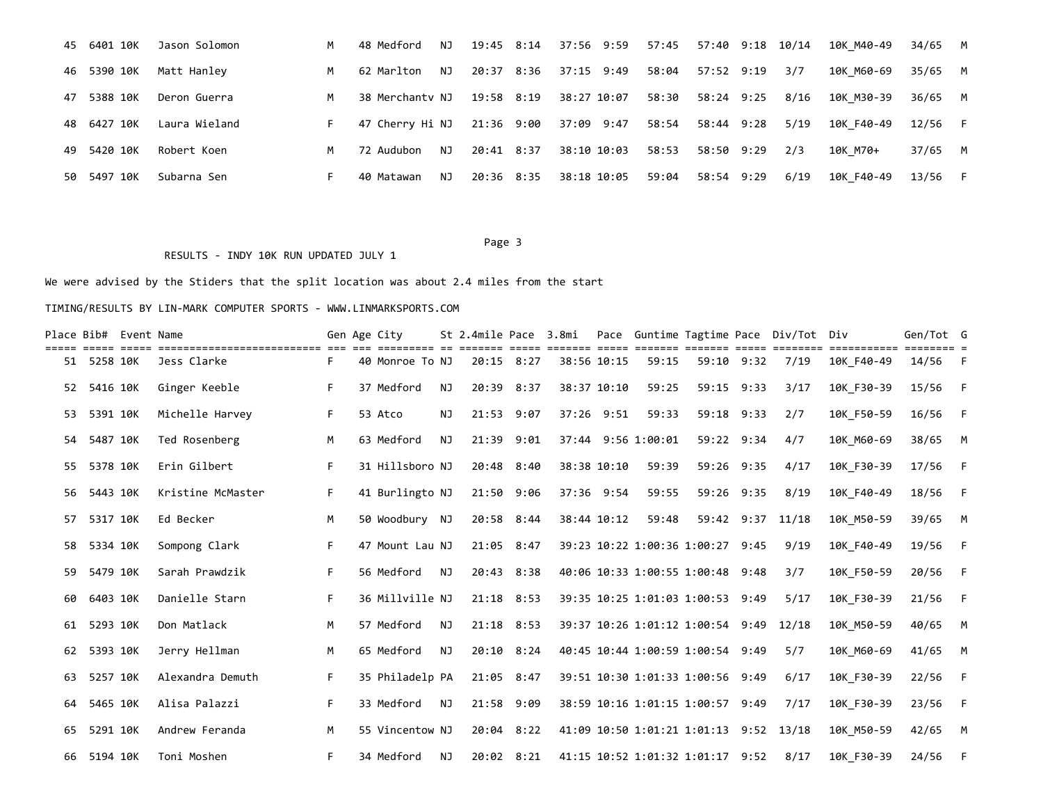|     | 45 6401 10K | Jason Solomon | M   | 48 Medford      | NJ  | 19:45 8:14 | 37:56 9:59  | 57:45 | 57:40 9:18 10/14 |      | 10K M40-49 | 34/65 M |  |
|-----|-------------|---------------|-----|-----------------|-----|------------|-------------|-------|------------------|------|------------|---------|--|
|     | 46 5390 10K | Matt Hanley   | M . | 62 Marlton      | NJ  | 20:37 8:36 | 37:15 9:49  | 58:04 | 57:52 9:19       | 3/7  | 10K M60-69 | 35/65 M |  |
|     | 47 5388 10K | Deron Guerra  | M   | 38 Merchanty NJ |     | 19:58 8:19 | 38:27 10:07 | 58:30 | 58:24 9:25       | 8/16 | 10K M30-39 | 36/65 M |  |
|     | 48 6427 10K | Laura Wieland |     | 47 Cherrv Hi NJ |     | 21:36 9:00 | 37:09 9:47  | 58:54 | 58:44 9:28       | 5/19 | 10K F40-49 | 12/56 F |  |
|     | 49 5420 10K | Robert Koen   | M   | 72 Audubon      | NJ. | 20:41 8:37 | 38:10 10:03 | 58:53 | 58:50 9:29       | 2/3  | 10K M70+   | 37/65 M |  |
| 50. | 5497 10K    | Subarna Sen   |     | 40 Matawan      | NJ  | 20:36 8:35 | 38:18 10:05 | 59:04 | 58:54 9:29       | 6/19 | 10K F40-49 | 13/56 F |  |

#### Page 3 and 2012 and 2012 and 2012 and 2012 and 2012 and 2012 and 2012 and 2012 and 2012 and 2012 and 2012 and 2012 and 2012 and 2012 and 2012 and 2012 and 2012 and 2012 and 2012 and 2012 and 2012 and 2012 and 2012 and 2012

### RESULTS - INDY 10K RUN UPDATED JULY 1

# We were advised by the Stiders that the split location was about 2.4 miles from the start

|    | Place Bib# Event Name | ============================== |    | Gen Age City    |    | St 2.4mile Pace 3.8mi |  |             |                                        |            | Pace Guntime Tagtime Pace Div/Tot Div |            | Gen/Tot G |          |
|----|-----------------------|--------------------------------|----|-----------------|----|-----------------------|--|-------------|----------------------------------------|------------|---------------------------------------|------------|-----------|----------|
| 51 | 5258 10K              | Jess Clarke                    | F. | 40 Monroe To NJ |    | 20:15 8:27            |  | 38:56 10:15 | 59:15                                  | 59:10 9:32 | 7/19                                  | 10K F40-49 | 14/56     | - F      |
| 52 | 5416 10K              | Ginger Keeble                  | F  | 37 Medford      | NJ | 20:39 8:37            |  | 38:37 10:10 | 59:25                                  | 59:15 9:33 | 3/17                                  | 10K F30-39 | 15/56     | $-F$     |
| 53 | 5391 10K              | Michelle Harvey                | F. | 53 Atco         | NJ | 21:53 9:07            |  | 37:26 9:51  | 59:33                                  | 59:18 9:33 | 2/7                                   | 10K F50-59 | 16/56     | - F      |
| 54 | 5487 10K              | Ted Rosenberg                  | М  | 63 Medford      | NJ | 21:39 9:01            |  |             | 37:44 9:56 1:00:01                     | 59:22 9:34 | 4/7                                   | 10K M60-69 | 38/65     | <b>M</b> |
| 55 | 5378 10K              | Erin Gilbert                   | F. | 31 Hillsboro NJ |    | 20:48 8:40            |  | 38:38 10:10 | 59:39                                  | 59:26 9:35 | 4/17                                  | 10K F30-39 | 17/56     | - F      |
| 56 | 5443 10K              | Kristine McMaster              | F  | 41 Burlingto NJ |    | 21:50 9:06            |  | 37:36 9:54  | 59:55                                  | 59:26 9:35 | 8/19                                  | 10K F40-49 | 18/56     | $-F$     |
| 57 | 5317 10K              | Ed Becker                      | M  | 50 Woodbury NJ  |    | 20:58 8:44            |  | 38:44 10:12 | 59:48                                  |            | 59:42 9:37 11/18                      | 10K M50-59 | 39/65     | <b>M</b> |
| 58 | 5334 10K              | Sompong Clark                  | F. | 47 Mount Lau NJ |    | 21:05 8:47            |  |             | 39:23 10:22 1:00:36 1:00:27 9:45       |            | 9/19                                  | 10K F40-49 | 19/56     | $-F$     |
| 59 | 5479 10K              | Sarah Prawdzik                 | F. | 56 Medford      | NJ | 20:43 8:38            |  |             | 40:06 10:33 1:00:55 1:00:48 9:48       |            | 3/7                                   | 10K F50-59 | 20/56     | $-F$     |
| 60 | 6403 10K              | Danielle Starn                 | F  | 36 Millville NJ |    | 21:18 8:53            |  |             | 39:35 10:25 1:01:03 1:00:53 9:49       |            | 5/17                                  | 10K F30-39 | 21/56     | $-F$     |
| 61 | 5293 10K              | Don Matlack                    | M  | 57 Medford      | NJ | $21:18$ 8:53          |  |             | 39:37 10:26 1:01:12 1:00:54 9:49       |            | 12/18                                 | 10K M50-59 | 40/65     | M        |
| 62 | 5393 10K              | Jerry Hellman                  | M  | 65 Medford      | NJ | $20:10$ $8:24$        |  |             | 40:45 10:44 1:00:59 1:00:54 9:49       |            | 5/7                                   | 10K M60-69 | 41/65     | <b>M</b> |
| 63 | 5257 10K              | Alexandra Demuth               |    | 35 Philadelp PA |    | 21:05 8:47            |  |             | 39:51 10:30 1:01:33 1:00:56 9:49       |            | 6/17                                  | 10K F30-39 | 22/56     | $-F$     |
| 64 | 5465 10K              | Alisa Palazzi                  | F  | 33 Medford      | NJ | 21:58 9:09            |  |             | 38:59 10:16 1:01:15 1:00:57 9:49       |            | 7/17                                  | 10K F30-39 | 23/56     | $-F$     |
| 65 | 5291 10K              | Andrew Feranda                 | M  | 55 Vincentow NJ |    | 20:04 8:22            |  |             | 41:09 10:50 1:01:21 1:01:13 9:52 13/18 |            |                                       | 10K M50-59 | 42/65     | M        |
|    | 66 5194 10K           | Toni Moshen                    | F. | 34 Medford      | NJ | $20:02$ $8:21$        |  |             | 41:15 10:52 1:01:32 1:01:17 9:52       |            | 8/17                                  | 10K F30-39 | 24/56     | - F      |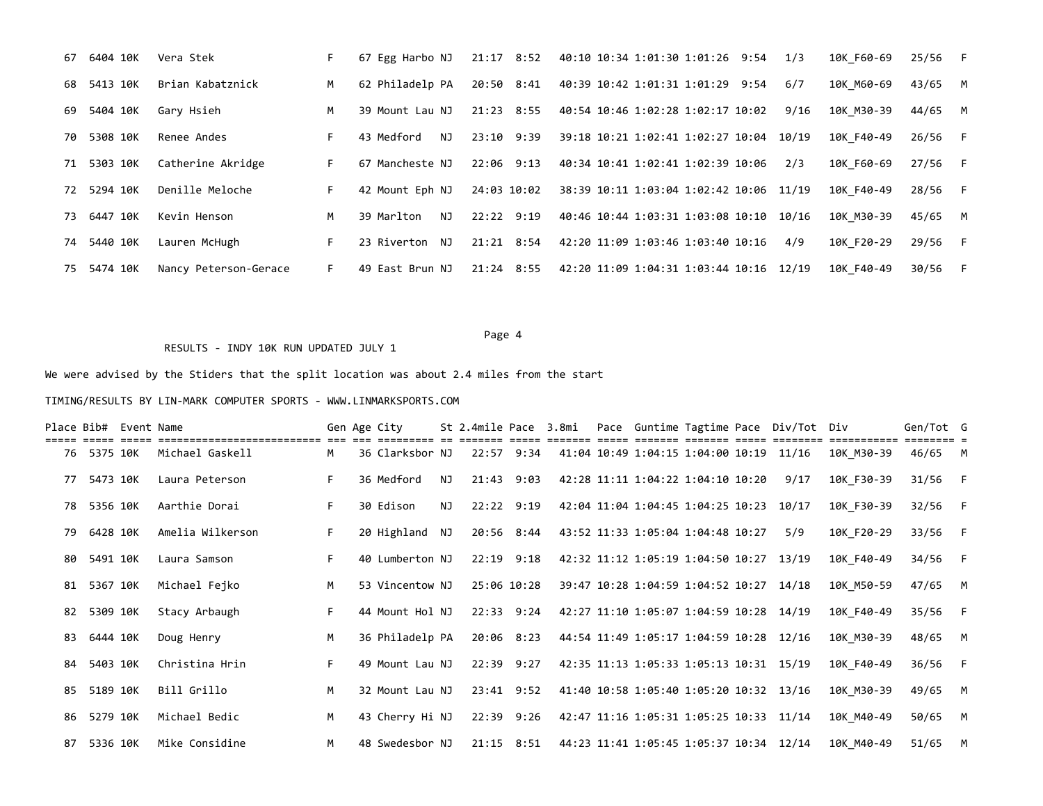| 67  | 6404 10K    | Vera Stek             |    | 67 Egg Harbo NJ   | 21:17 8:52   | 40:10 10:34 1:01:30 1:01:26 9:54        |  | 1/3   | 10K F60-69 | $25/56$ F |   |
|-----|-------------|-----------------------|----|-------------------|--------------|-----------------------------------------|--|-------|------------|-----------|---|
| 68. | 5413 10K    | Brian Kabatznick      | M  | 62 Philadelp PA   | 20:50 8:41   | 40:39 10:42 1:01:31 1:01:29 9:54        |  | 6/7   | 10K M60-69 | 43/65 M   |   |
| 69  | 5404 10K    | Gary Hsieh            | M  | 39 Mount Lau NJ   | $21:23$ 8:55 | 40:54 10:46 1:02:28 1:02:17 10:02       |  | 9/16  | 10K M30-39 | 44/65 M   |   |
| 70. | 5308 10K    | Renee Andes           | F. | 43 Medford<br>NJ. | 23:10 9:39   | 39:18 10:21 1:02:41 1:02:27 10:04       |  | 10/19 | 10K F40-49 | 26/56 F   |   |
| 71  | 5303 10K    | Catherine Akridge     | F. | 67 Mancheste NJ   | $22:06$ 9:13 | 40:34 10:41 1:02:41 1:02:39 10:06       |  | 2/3   | 10K F60-69 | 27/56 F   |   |
|     | 72 5294 10K | Denille Meloche       | F. | 42 Mount Eph NJ   | 24:03 10:02  | 38:39 10:11 1:03:04 1:02:42 10:06 11/19 |  |       | 10K F40-49 | 28/56 F   |   |
| 73. | 6447 10K    | Kevin Henson          | M  | 39 Marlton<br>NJ. | 22:22 9:19   | 40:46 10:44 1:03:31 1:03:08 10:10       |  | 10/16 | 10K M30-39 | 45/65 M   |   |
| 74  | 5440 10K    | Lauren McHugh         | F. | 23 Riverton NJ    | $21:21$ 8:54 | 42:20 11:09 1:03:46 1:03:40 10:16       |  | 4/9   | 10K F20-29 | 29/56 F   |   |
|     | 75 5474 10K | Nancy Peterson-Gerace | E. | 49 East Brun NJ   | 21:24 8:55   | 42:20 11:09 1:04:31 1:03:44 10:16 12/19 |  |       | 10K F40-49 | 30/56     | F |

#### Page 4

#### RESULTS - INDY 10K RUN UPDATED JULY 1

We were advised by the Stiders that the split location was about 2.4 miles from the start

|    |             | Place Bib# Event Name |                  |    | Gen Age City    |     | St 2.4mile Pace 3.8mi |  |                                                    |  | Pace Guntime Tagtime Pace Div/Tot Div |            | Gen/Tot G |          |
|----|-------------|-----------------------|------------------|----|-----------------|-----|-----------------------|--|----------------------------------------------------|--|---------------------------------------|------------|-----------|----------|
|    | 76 5375 10K |                       | Michael Gaskell  | M  | 36 Clarksbor NJ |     | 22:57 9:34            |  | 41:04 10:49 1:04:15 1:04:00 10:19 11/16            |  |                                       | 10K M30-39 | 46/65 M   |          |
| 77 | 5473 10K    |                       | Laura Peterson   |    | 36 Medford      | NJ. | 21:43 9:03            |  | 42:28 11:11 1:04:22 1:04:10 10:20                  |  | 9/17                                  | 10K F30-39 | $31/56$ F |          |
| 78 | 5356 10K    |                       | Aarthie Dorai    | F. | 30 Edison       | NJ. | $22:22$ 9:19          |  | 42:04 11:04 1:04:45 1:04:25 10:23 10/17            |  |                                       | 10K F30-39 | $32/56$ F |          |
| 79 | 6428 10K    |                       | Amelia Wilkerson |    | 20 Highland NJ  |     | 20:56 8:44            |  | 43:52 11:33 1:05:04 1:04:48 10:27                  |  | 5/9                                   | 10K F20-29 | 33/56 F   |          |
| 80 | 5491 10K    |                       | Laura Samson     |    | 40 Lumberton NJ |     | $22:19$ $9:18$        |  | 42:32 11:12 1:05:19 1:04:50 10:27 13/19            |  |                                       | 10K F40-49 | 34/56 F   |          |
| 81 | 5367 10K    |                       | Michael Fejko    | M  | 53 Vincentow NJ |     | 25:06 10:28           |  | 39:47 10:28 1:04:59 1:04:52 10:27 14/18            |  |                                       | 10K M50-59 | 47/65 M   |          |
| 82 | 5309 10K    |                       | Stacy Arbaugh    |    | 44 Mount Hol NJ |     | 22:33 9:24            |  | 42:27 11:10 1:05:07 1:04:59 10:28 14/19            |  |                                       | 10K F40-49 | 35/56 F   |          |
| 83 | 6444 10K    |                       | Doug Henry       | M  | 36 Philadelp PA |     | 20:06 8:23            |  | 44:54 11:49 1:05:17 1:04:59 10:28 12/16            |  |                                       | 10K M30-39 | 48/65 M   |          |
| 84 | 5403 10K    |                       | Christina Hrin   |    | 49 Mount Lau NJ |     | 22:39 9:27            |  | 42:35 11:13 1:05:33 1:05:13 10:31 15/19            |  |                                       | 10K F40-49 | 36/56 F   |          |
| 85 | 5189 10K    |                       | Bill Grillo      | M  | 32 Mount Lau NJ |     | 23:41 9:52            |  | 41:40 10:58 1:05:40 1:05:20 10:32 13/16            |  |                                       | 10K M30-39 | 49/65 M   |          |
| 86 | 5279 10K    |                       | Michael Bedic    | M  | 43 Cherry Hi NJ |     | 22:39 9:26            |  | 42:47 11:16 1:05:31 1:05:25 10:33 11/14            |  |                                       | 10K M40-49 | 50/65     | <b>M</b> |
| 87 | 5336 10K    |                       | Mike Considine   | M  | 48 Swedesbor NJ |     |                       |  | 21:15 8:51 44:23 11:41 1:05:45 1:05:37 10:34 12/14 |  |                                       | 10K M40-49 | $51/65$ M |          |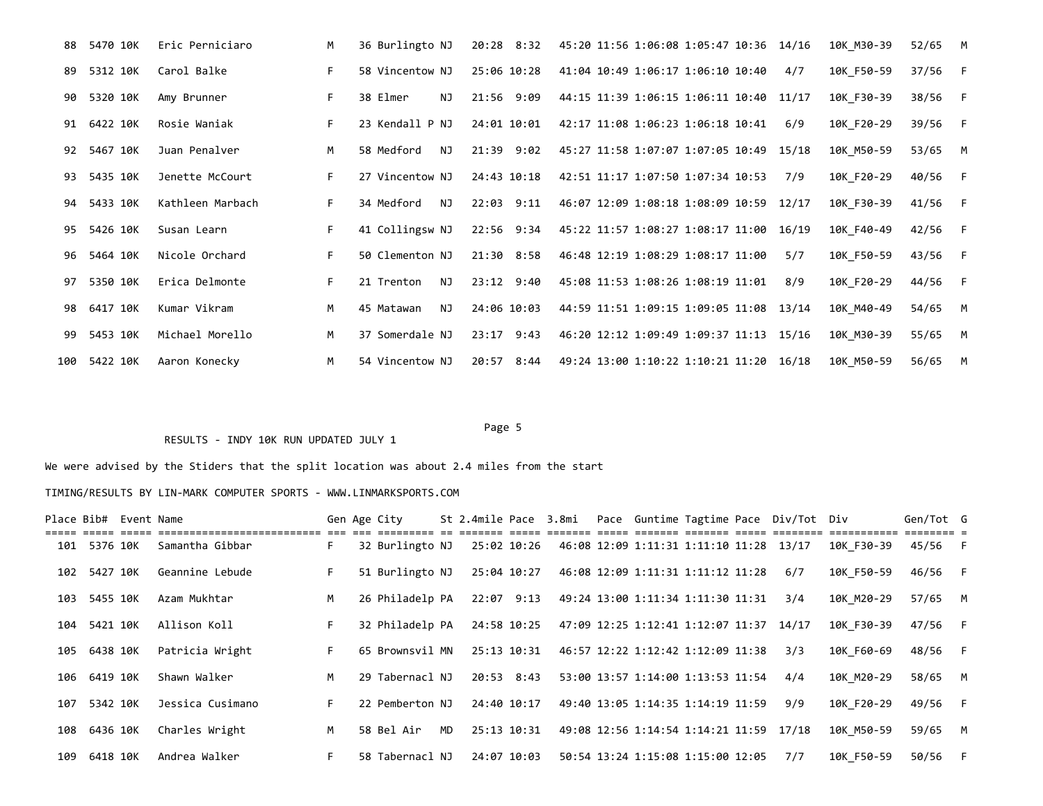| 88  | 5470 10K | Eric Perniciaro  | M  | 36 Burlingto NJ   | 20:28 8:32     | 45:20 11:56 1:06:08 1:05:47 10:36 14/16    | 10K M30-39 | 52/65<br><b>M</b> |  |
|-----|----------|------------------|----|-------------------|----------------|--------------------------------------------|------------|-------------------|--|
| 89  | 5312 10K | Carol Balke      |    | 58 Vincentow NJ   | 25:06 10:28    | 41:04 10:49 1:06:17 1:06:10 10:40<br>4/7   | 10K F50-59 | 37/56 F           |  |
| 90  | 5320 10K | Amy Brunner      | F. | 38 Elmer<br>NJ.   | 21:56 9:09     | 44:15 11:39 1:06:15 1:06:11 10:40 11/17    | 10K F30-39 | 38/56 F           |  |
| 91  | 6422 10K | Rosie Waniak     | F. | 23 Kendall P NJ   | 24:01 10:01    | 42:17 11:08 1:06:23 1:06:18 10:41<br>6/9   | 10K F20-29 | 39/56 F           |  |
| 92  | 5467 10K | Juan Penalver    | M  | 58 Medford<br>NJ. | $21:39$ $9:02$ | 45:27 11:58 1:07:07 1:07:05 10:49 15/18    | 10K M50-59 | 53/65 M           |  |
| 93  | 5435 10K | Jenette McCourt  | F. | 27 Vincentow NJ   | 24:43 10:18    | 42:51 11:17 1:07:50 1:07:34 10:53<br>7/9   | 10K F20-29 | 40/56 F           |  |
| 94  | 5433 10K | Kathleen Marbach | F. | 34 Medford<br>NJ. | 22:03 9:11     | 46:07 12:09 1:08:18 1:08:09 10:59 12/17    | 10K F30-39 | 41/56<br>$-F$     |  |
| 95  | 5426 10K | Susan Learn      | F. | 41 Collingsw NJ   | 22:56 9:34     | 45:22 11:57 1:08:27 1:08:17 11:00 16/19    | 10K F40-49 | 42/56<br>- F      |  |
| 96  | 5464 10K | Nicole Orchard   | F. | 50 Clementon NJ   | $21:30$ 8:58   | 46:48 12:19 1:08:29 1:08:17 11:00<br>5/7   | 10K F50-59 | 43/56<br>$-F$     |  |
| 97  | 5350 10K | Erica Delmonte   | F. | NJ.<br>21 Trenton | $23:12$ $9:40$ | 45:08 11:53 1:08:26 1:08:19 11:01<br>8/9   | 10K F20-29 | 44/56<br>F        |  |
| 98  | 6417 10K | Kumar Vikram     | M  | NJ.<br>45 Matawan | 24:06 10:03    | 44:59 11:51 1:09:15 1:09:05 11:08<br>13/14 | 10K M40-49 | 54/65<br><b>M</b> |  |
| 99  | 5453 10K | Michael Morello  | M  | 37 Somerdale NJ   | 23:17 9:43     | 46:20 12:12 1:09:49 1:09:37 11:13 15/16    | 10K M30-39 | 55/65<br><b>M</b> |  |
| 100 | 5422 10K | Aaron Konecky    | M  | 54 Vincentow NJ   | 20:57 8:44     | 49:24 13:00 1:10:22 1:10:21 11:20 16/18    | 10K M50-59 | <b>M</b><br>56/65 |  |

#### Page 5

# RESULTS - INDY 10K RUN UPDATED JULY 1

We were advised by the Stiders that the split location was about 2.4 miles from the start

|     |              | Place Bib# Event Name |                  |                | Gen Age City    |     | St 2.4mile Pace 3.8mi |  |                                         |  | Pace Guntime Tagtime Pace Div/Tot Div |            | Gen/Tot G |  |
|-----|--------------|-----------------------|------------------|----------------|-----------------|-----|-----------------------|--|-----------------------------------------|--|---------------------------------------|------------|-----------|--|
|     | 101 5376 10K |                       | Samantha Gibbar  | F.             | 32 Burlingto NJ |     | 25:02 10:26           |  | 46:08 12:09 1:11:31 1:11:10 11:28 13/17 |  |                                       | 10K F30-39 | 45/56 F   |  |
| 102 | 5427 10K     |                       | Geannine Lebude  | F              | 51 Burlingto NJ |     | 25:04 10:27           |  | 46:08 12:09 1:11:31 1:11:12 11:28       |  | 6/7                                   | 10K F50-59 | 46/56 F   |  |
| 103 | 5455 10K     |                       | Azam Mukhtar     | M              | 26 Philadelp PA |     | 22:07 9:13            |  | 49:24 13:00 1:11:34 1:11:30 11:31       |  | 3/4                                   | 10K M20-29 | 57/65 M   |  |
| 104 | 5421 10K     |                       | Allison Koll     | F.             | 32 Philadelp PA |     | 24:58 10:25           |  | 47:09 12:25 1:12:41 1:12:07 11:37       |  | 14/17                                 | 10K F30-39 | 47/56 F   |  |
| 105 | 6438 10K     |                       | Patricia Wright  | F.             | 65 Brownsvil MN |     | 25:13 10:31           |  | 46:57 12:22 1:12:42 1:12:09 11:38       |  | 3/3                                   | 10K F60-69 | 48/56 F   |  |
| 106 | 6419 10K     |                       | Shawn Walker     | M <sub>1</sub> | 29 Tabernacl NJ |     | 20:53 8:43            |  | 53:00 13:57 1:14:00 1:13:53 11:54       |  | 4/4                                   | 10K M20-29 | 58/65 M   |  |
| 107 | 5342 10K     |                       | Jessica Cusimano | F.             | 22 Pemberton NJ |     | 24:40 10:17           |  | 49:40 13:05 1:14:35 1:14:19 11:59       |  | 9/9                                   | 10K F20-29 | 49/56 F   |  |
| 108 | 6436 10K     |                       | Charles Wright   | <b>M</b>       | 58 Bel Air      | MD. | 25:13 10:31           |  | 49:08 12:56 1:14:54 1:14:21 11:59       |  | 17/18                                 | 10K M50-59 | 59/65 M   |  |
| 109 | 6418 10K     |                       | Andrea Walker    | F              | 58 Tabernacl NJ |     | 24:07 10:03           |  | 50:54 13:24 1:15:08 1:15:00 12:05       |  | 7/7                                   | 10K F50-59 | 50/56 F   |  |